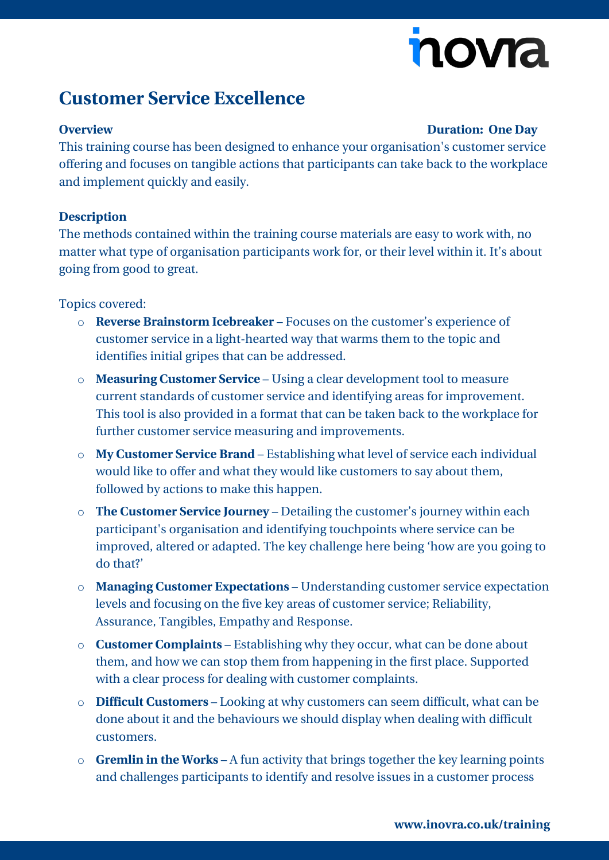# novia

## **Customer Service Excellence**

### **Overview Duration: One Day**

This training course has been designed to enhance your organisation's customer service offering and focuses on tangible actions that participants can take back to the workplace and implement quickly and easily.

### **Description**

The methods contained within the training course materials are easy to work with, no matter what type of organisation participants work for, or their level within it. It's about going from good to great.

Topics covered:

- o **Reverse Brainstorm Icebreaker** Focuses on the customer's experience of customer service in a light-hearted way that warms them to the topic and identifies initial gripes that can be addressed.
- o **Measuring Customer Service**  Using a clear development tool to measure current standards of customer service and identifying areas for improvement. This tool is also provided in a format that can be taken back to the workplace for further customer service measuring and improvements.
- o **My Customer Service Brand**  Establishing what level of service each individual would like to offer and what they would like customers to say about them, followed by actions to make this happen.
- o **The Customer Service Journey** Detailing the customer's journey within each participant's organisation and identifying touchpoints where service can be improved, altered or adapted. The key challenge here being 'how are you going to do that?'
- o **Managing Customer Expectations**  Understanding customer service expectation levels and focusing on the five key areas of customer service; Reliability, Assurance, Tangibles, Empathy and Response.
- o **Customer Complaints**  Establishing why they occur, what can be done about them, and how we can stop them from happening in the first place. Supported with a clear process for dealing with customer complaints.
- o **Difficult Customers**  Looking at why customers can seem difficult, what can be done about it and the behaviours we should display when dealing with difficult customers.
- o **Gremlin in the Works**  A fun activity that brings together the key learning points and challenges participants to identify and resolve issues in a customer process